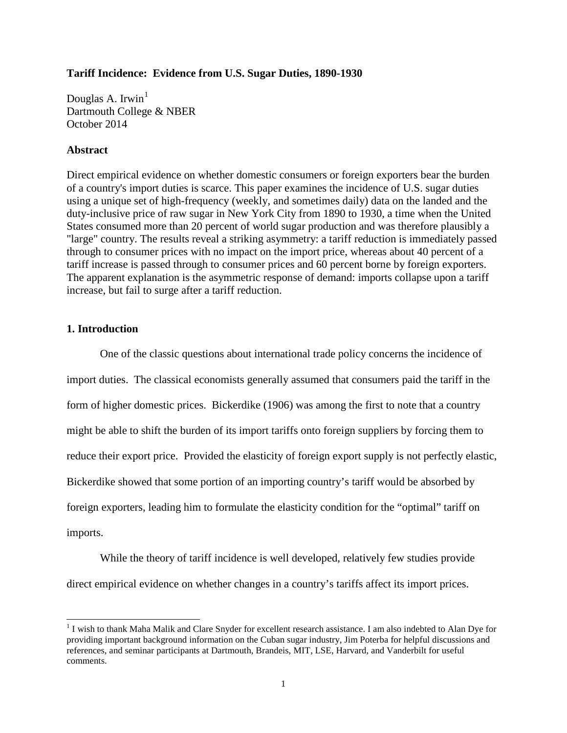#### **Tariff Incidence: Evidence from U.S. Sugar Duties, 1890-1930**

Douglas A. Irwin<sup>[1](#page-0-0)</sup> Dartmouth College & NBER October 2014

#### **Abstract**

Direct empirical evidence on whether domestic consumers or foreign exporters bear the burden of a country's import duties is scarce. This paper examines the incidence of U.S. sugar duties using a unique set of high-frequency (weekly, and sometimes daily) data on the landed and the duty-inclusive price of raw sugar in New York City from 1890 to 1930, a time when the United States consumed more than 20 percent of world sugar production and was therefore plausibly a "large" country. The results reveal a striking asymmetry: a tariff reduction is immediately passed through to consumer prices with no impact on the import price, whereas about 40 percent of a tariff increase is passed through to consumer prices and 60 percent borne by foreign exporters. The apparent explanation is the asymmetric response of demand: imports collapse upon a tariff increase, but fail to surge after a tariff reduction.

### **1. Introduction**

 $\overline{a}$ 

One of the classic questions about international trade policy concerns the incidence of import duties. The classical economists generally assumed that consumers paid the tariff in the form of higher domestic prices. Bickerdike (1906) was among the first to note that a country might be able to shift the burden of its import tariffs onto foreign suppliers by forcing them to reduce their export price. Provided the elasticity of foreign export supply is not perfectly elastic, Bickerdike showed that some portion of an importing country's tariff would be absorbed by foreign exporters, leading him to formulate the elasticity condition for the "optimal" tariff on imports.

While the theory of tariff incidence is well developed, relatively few studies provide direct empirical evidence on whether changes in a country's tariffs affect its import prices.

<span id="page-0-0"></span><sup>&</sup>lt;sup>1</sup> I wish to thank Maha Malik and Clare Snyder for excellent research assistance. I am also indebted to Alan Dye for providing important background information on the Cuban sugar industry, Jim Poterba for helpful discussions and references, and seminar participants at Dartmouth, Brandeis, MIT, LSE, Harvard, and Vanderbilt for useful comments.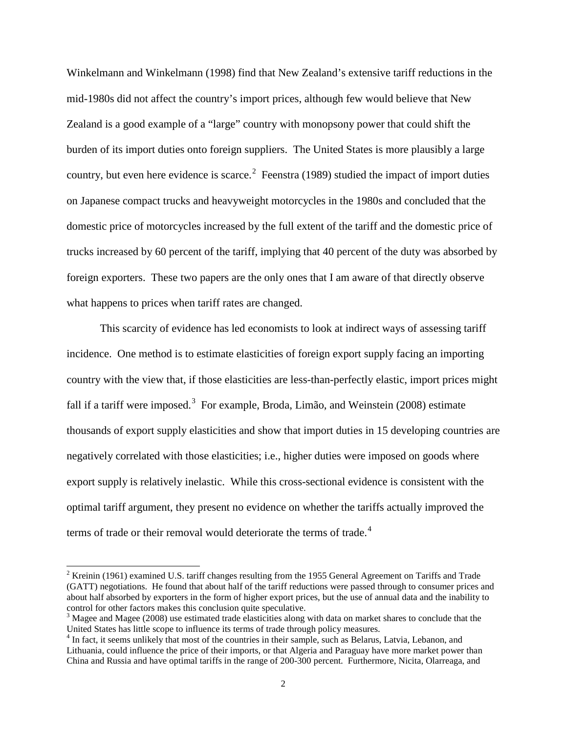Winkelmann and Winkelmann (1998) find that New Zealand's extensive tariff reductions in the mid-1980s did not affect the country's import prices, although few would believe that New Zealand is a good example of a "large" country with monopsony power that could shift the burden of its import duties onto foreign suppliers. The United States is more plausibly a large country, but even here evidence is scarce.<sup>[2](#page-1-0)</sup> Feenstra (1989) studied the impact of import duties on Japanese compact trucks and heavyweight motorcycles in the 1980s and concluded that the domestic price of motorcycles increased by the full extent of the tariff and the domestic price of trucks increased by 60 percent of the tariff, implying that 40 percent of the duty was absorbed by foreign exporters. These two papers are the only ones that I am aware of that directly observe what happens to prices when tariff rates are changed.

This scarcity of evidence has led economists to look at indirect ways of assessing tariff incidence. One method is to estimate elasticities of foreign export supply facing an importing country with the view that, if those elasticities are less-than-perfectly elastic, import prices might fall if a tariff were imposed.<sup>[3](#page-1-1)</sup> For example, Broda, Limão, and Weinstein (2008) estimate thousands of export supply elasticities and show that import duties in 15 developing countries are negatively correlated with those elasticities; i.e., higher duties were imposed on goods where export supply is relatively inelastic. While this cross-sectional evidence is consistent with the optimal tariff argument, they present no evidence on whether the tariffs actually improved the terms of trade or their removal would deteriorate the terms of trade. $4$ 

 $\overline{a}$ 

<span id="page-1-0"></span> $2$  Kreinin (1961) examined U.S. tariff changes resulting from the 1955 General Agreement on Tariffs and Trade (GATT) negotiations. He found that about half of the tariff reductions were passed through to consumer prices and about half absorbed by exporters in the form of higher export prices, but the use of annual data and the inability to control for other factors makes this conclusion quite speculative.<br><sup>3</sup> Magee and Magee (2008) use estimated trade elasticities along with data on market shares to conclude that the

<span id="page-1-1"></span>United States has little scope to influence its terms of trade through policy measures.

<span id="page-1-2"></span><sup>&</sup>lt;sup>4</sup> In fact, it seems unlikely that most of the countries in their sample, such as Belarus, Latvia, Lebanon, and Lithuania, could influence the price of their imports, or that Algeria and Paraguay have more market power than China and Russia and have optimal tariffs in the range of 200-300 percent. Furthermore, Nicita, Olarreaga, and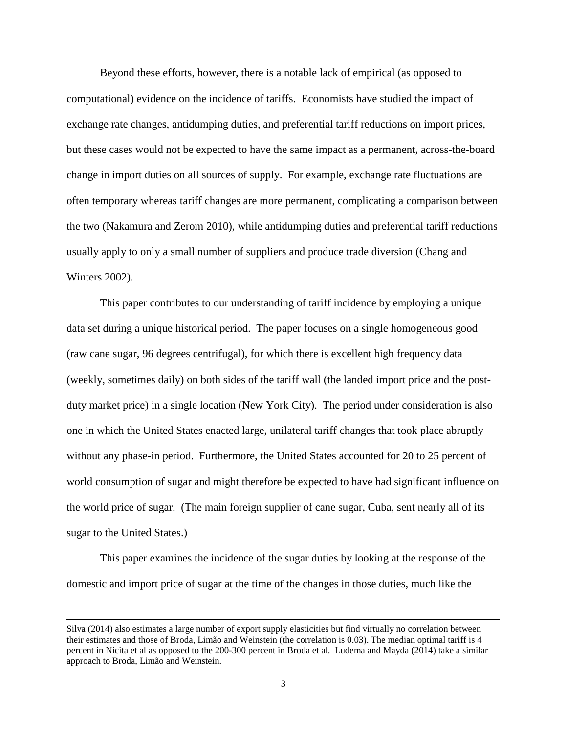Beyond these efforts, however, there is a notable lack of empirical (as opposed to computational) evidence on the incidence of tariffs. Economists have studied the impact of exchange rate changes, antidumping duties, and preferential tariff reductions on import prices, but these cases would not be expected to have the same impact as a permanent, across-the-board change in import duties on all sources of supply. For example, exchange rate fluctuations are often temporary whereas tariff changes are more permanent, complicating a comparison between the two (Nakamura and Zerom 2010), while antidumping duties and preferential tariff reductions usually apply to only a small number of suppliers and produce trade diversion (Chang and Winters 2002).

This paper contributes to our understanding of tariff incidence by employing a unique data set during a unique historical period. The paper focuses on a single homogeneous good (raw cane sugar, 96 degrees centrifugal), for which there is excellent high frequency data (weekly, sometimes daily) on both sides of the tariff wall (the landed import price and the postduty market price) in a single location (New York City). The period under consideration is also one in which the United States enacted large, unilateral tariff changes that took place abruptly without any phase-in period. Furthermore, the United States accounted for 20 to 25 percent of world consumption of sugar and might therefore be expected to have had significant influence on the world price of sugar. (The main foreign supplier of cane sugar, Cuba, sent nearly all of its sugar to the United States.)

This paper examines the incidence of the sugar duties by looking at the response of the domestic and import price of sugar at the time of the changes in those duties, much like the

 $\overline{a}$ 

Silva (2014) also estimates a large number of export supply elasticities but find virtually no correlation between their estimates and those of Broda, Limão and Weinstein (the correlation is 0.03). The median optimal tariff is 4 percent in Nicita et al as opposed to the 200-300 percent in Broda et al. Ludema and Mayda (2014) take a similar approach to Broda, Limão and Weinstein.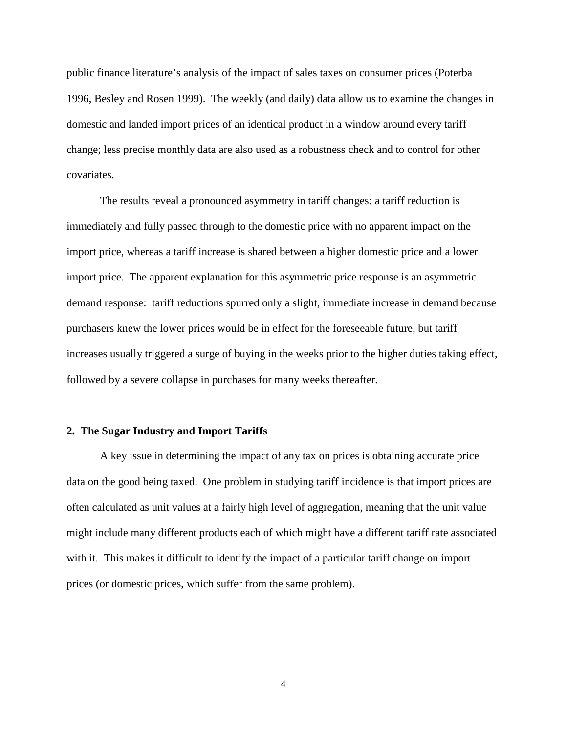public finance literature's analysis of the impact of sales taxes on consumer prices (Poterba 1996, Besley and Rosen 1999). The weekly (and daily) data allow us to examine the changes in domestic and landed import prices of an identical product in a window around every tariff change; less precise monthly data are also used as a robustness check and to control for other covariates.

The results reveal a pronounced asymmetry in tariff changes: a tariff reduction is immediately and fully passed through to the domestic price with no apparent impact on the import price, whereas a tariff increase is shared between a higher domestic price and a lower import price. The apparent explanation for this asymmetric price response is an asymmetric demand response: tariff reductions spurred only a slight, immediate increase in demand because purchasers knew the lower prices would be in effect for the foreseeable future, but tariff increases usually triggered a surge of buying in the weeks prior to the higher duties taking effect, followed by a severe collapse in purchases for many weeks thereafter.

#### **2. The Sugar Industry and Import Tariffs**

A key issue in determining the impact of any tax on prices is obtaining accurate price data on the good being taxed. One problem in studying tariff incidence is that import prices are often calculated as unit values at a fairly high level of aggregation, meaning that the unit value might include many different products each of which might have a different tariff rate associated with it. This makes it difficult to identify the impact of a particular tariff change on import prices (or domestic prices, which suffer from the same problem).

4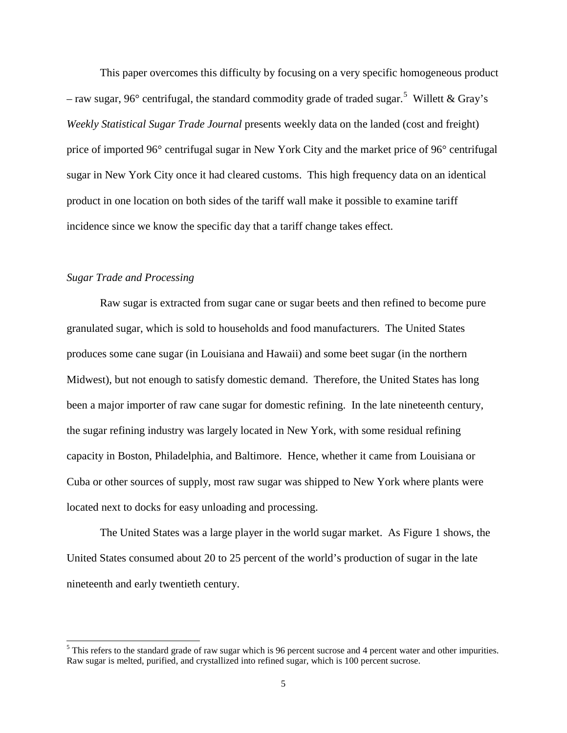This paper overcomes this difficulty by focusing on a very specific homogeneous product – raw sugar, 96° centrifugal, the standard commodity grade of traded sugar.<sup>[5](#page-4-0)</sup> Willett & Gray's *Weekly Statistical Sugar Trade Journal* presents weekly data on the landed (cost and freight) price of imported 96° centrifugal sugar in New York City and the market price of 96° centrifugal sugar in New York City once it had cleared customs. This high frequency data on an identical product in one location on both sides of the tariff wall make it possible to examine tariff incidence since we know the specific day that a tariff change takes effect.

## *Sugar Trade and Processing*

 $\overline{a}$ 

Raw sugar is extracted from sugar cane or sugar beets and then refined to become pure granulated sugar, which is sold to households and food manufacturers. The United States produces some cane sugar (in Louisiana and Hawaii) and some beet sugar (in the northern Midwest), but not enough to satisfy domestic demand. Therefore, the United States has long been a major importer of raw cane sugar for domestic refining. In the late nineteenth century, the sugar refining industry was largely located in New York, with some residual refining capacity in Boston, Philadelphia, and Baltimore. Hence, whether it came from Louisiana or Cuba or other sources of supply, most raw sugar was shipped to New York where plants were located next to docks for easy unloading and processing.

The United States was a large player in the world sugar market. As Figure 1 shows, the United States consumed about 20 to 25 percent of the world's production of sugar in the late nineteenth and early twentieth century.

<span id="page-4-0"></span> $<sup>5</sup>$  This refers to the standard grade of raw sugar which is 96 percent sucrose and 4 percent water and other impurities.</sup> Raw sugar is melted, purified, and crystallized into refined sugar, which is 100 percent sucrose.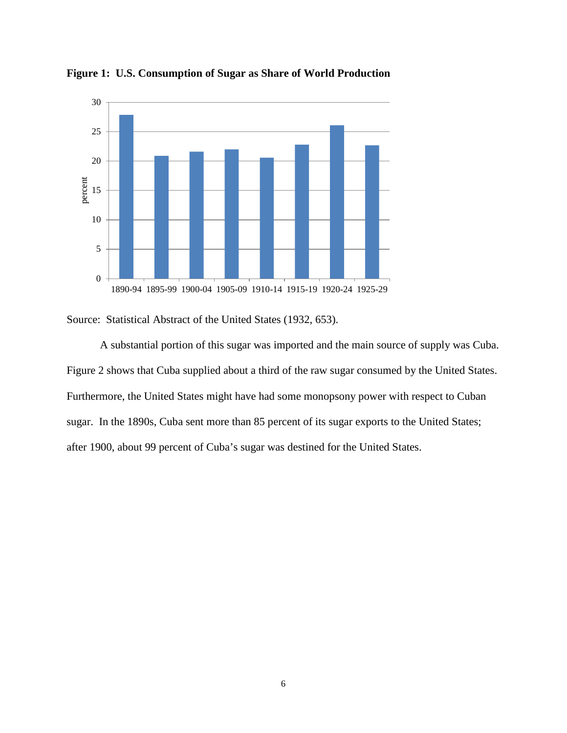

**Figure 1: U.S. Consumption of Sugar as Share of World Production**

Source: Statistical Abstract of the United States (1932, 653).

A substantial portion of this sugar was imported and the main source of supply was Cuba. Figure 2 shows that Cuba supplied about a third of the raw sugar consumed by the United States. Furthermore, the United States might have had some monopsony power with respect to Cuban sugar. In the 1890s, Cuba sent more than 85 percent of its sugar exports to the United States; after 1900, about 99 percent of Cuba's sugar was destined for the United States.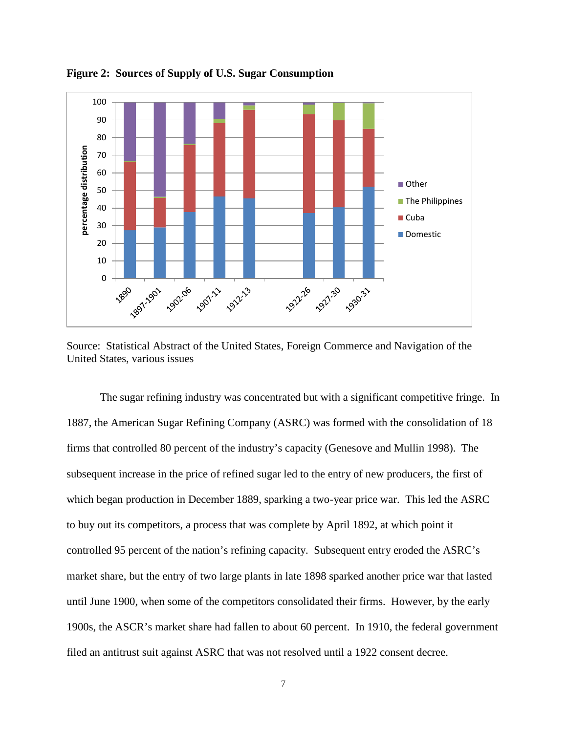

**Figure 2: Sources of Supply of U.S. Sugar Consumption**

Source: Statistical Abstract of the United States, Foreign Commerce and Navigation of the United States, various issues

The sugar refining industry was concentrated but with a significant competitive fringe. In 1887, the American Sugar Refining Company (ASRC) was formed with the consolidation of 18 firms that controlled 80 percent of the industry's capacity (Genesove and Mullin 1998). The subsequent increase in the price of refined sugar led to the entry of new producers, the first of which began production in December 1889, sparking a two-year price war. This led the ASRC to buy out its competitors, a process that was complete by April 1892, at which point it controlled 95 percent of the nation's refining capacity. Subsequent entry eroded the ASRC's market share, but the entry of two large plants in late 1898 sparked another price war that lasted until June 1900, when some of the competitors consolidated their firms. However, by the early 1900s, the ASCR's market share had fallen to about 60 percent. In 1910, the federal government filed an antitrust suit against ASRC that was not resolved until a 1922 consent decree.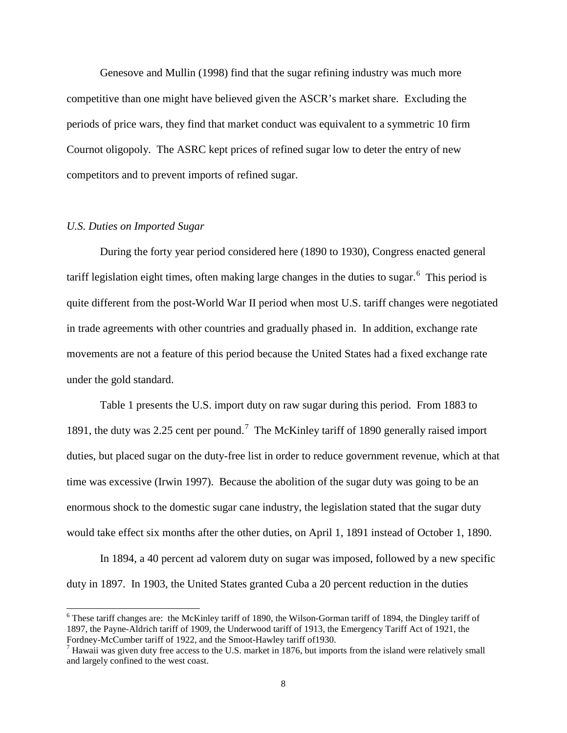Genesove and Mullin (1998) find that the sugar refining industry was much more competitive than one might have believed given the ASCR's market share. Excluding the periods of price wars, they find that market conduct was equivalent to a symmetric 10 firm Cournot oligopoly. The ASRC kept prices of refined sugar low to deter the entry of new competitors and to prevent imports of refined sugar.

#### *U.S. Duties on Imported Sugar*

 $\overline{a}$ 

During the forty year period considered here (1890 to 1930), Congress enacted general tariff legislation eight times, often making large changes in the duties to sugar.<sup>[6](#page-7-0)</sup> This period is quite different from the post-World War II period when most U.S. tariff changes were negotiated in trade agreements with other countries and gradually phased in. In addition, exchange rate movements are not a feature of this period because the United States had a fixed exchange rate under the gold standard.

Table 1 presents the U.S. import duty on raw sugar during this period. From 1883 to 1891, the duty was 2.25 cent per pound.<sup>[7](#page-7-1)</sup> The McKinley tariff of 1890 generally raised import duties, but placed sugar on the duty-free list in order to reduce government revenue, which at that time was excessive (Irwin 1997). Because the abolition of the sugar duty was going to be an enormous shock to the domestic sugar cane industry, the legislation stated that the sugar duty would take effect six months after the other duties, on April 1, 1891 instead of October 1, 1890.

In 1894, a 40 percent ad valorem duty on sugar was imposed, followed by a new specific duty in 1897. In 1903, the United States granted Cuba a 20 percent reduction in the duties

<span id="page-7-0"></span> $6$  These tariff changes are: the McKinley tariff of 1890, the Wilson-Gorman tariff of 1894, the Dingley tariff of 1897, the Payne-Aldrich tariff of 1909, the Underwood tariff of 1913, the Emergency Tariff Act of 1921, the Fordney-McCumber tariff of 1922, and the Smoot-Hawley tariff of 1930.<br><sup>7</sup> Hawaii was given duty free access to the U.S. market in 1876, but imports from the island were relatively small

<span id="page-7-1"></span>and largely confined to the west coast.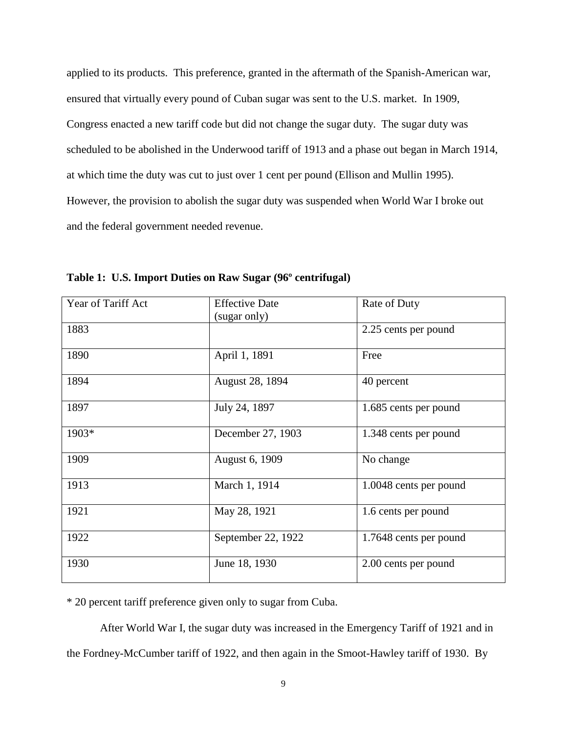applied to its products. This preference, granted in the aftermath of the Spanish-American war, ensured that virtually every pound of Cuban sugar was sent to the U.S. market. In 1909, Congress enacted a new tariff code but did not change the sugar duty. The sugar duty was scheduled to be abolished in the Underwood tariff of 1913 and a phase out began in March 1914, at which time the duty was cut to just over 1 cent per pound (Ellison and Mullin 1995). However, the provision to abolish the sugar duty was suspended when World War I broke out and the federal government needed revenue.

| Year of Tariff Act | <b>Effective Date</b><br>(sugar only) | Rate of Duty           |
|--------------------|---------------------------------------|------------------------|
| 1883               |                                       | 2.25 cents per pound   |
| 1890               | April 1, 1891                         | Free                   |
| 1894               | August 28, 1894                       | 40 percent             |
| 1897               | July 24, 1897                         | 1.685 cents per pound  |
| 1903*              | December 27, 1903                     | 1.348 cents per pound  |
| 1909               | August 6, 1909                        | No change              |
| 1913               | March 1, 1914                         | 1.0048 cents per pound |
| 1921               | May 28, 1921                          | 1.6 cents per pound    |
| 1922               | September 22, 1922                    | 1.7648 cents per pound |
| 1930               | June 18, 1930                         | 2.00 cents per pound   |

**Table 1: U.S. Import Duties on Raw Sugar (96º centrifugal)** 

\* 20 percent tariff preference given only to sugar from Cuba.

After World War I, the sugar duty was increased in the Emergency Tariff of 1921 and in the Fordney-McCumber tariff of 1922, and then again in the Smoot-Hawley tariff of 1930. By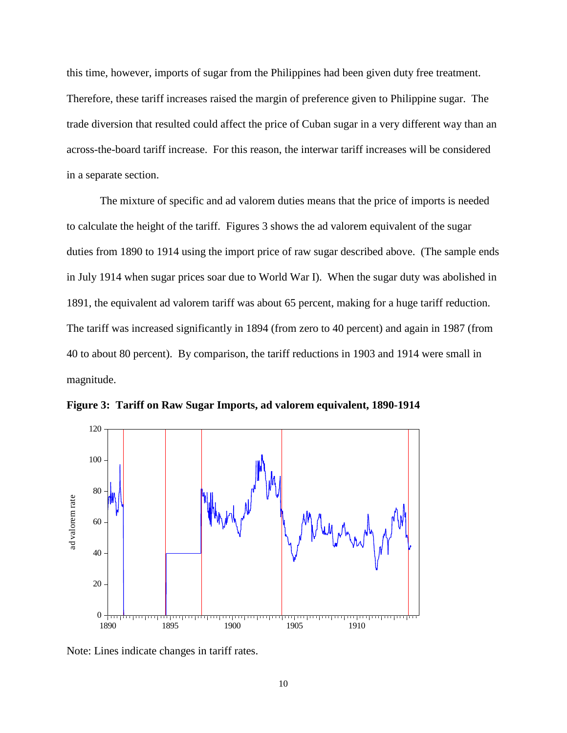this time, however, imports of sugar from the Philippines had been given duty free treatment. Therefore, these tariff increases raised the margin of preference given to Philippine sugar. The trade diversion that resulted could affect the price of Cuban sugar in a very different way than an across-the-board tariff increase. For this reason, the interwar tariff increases will be considered in a separate section.

The mixture of specific and ad valorem duties means that the price of imports is needed to calculate the height of the tariff. Figures 3 shows the ad valorem equivalent of the sugar duties from 1890 to 1914 using the import price of raw sugar described above. (The sample ends in July 1914 when sugar prices soar due to World War I). When the sugar duty was abolished in 1891, the equivalent ad valorem tariff was about 65 percent, making for a huge tariff reduction. The tariff was increased significantly in 1894 (from zero to 40 percent) and again in 1987 (from 40 to about 80 percent). By comparison, the tariff reductions in 1903 and 1914 were small in magnitude.



**Figure 3: Tariff on Raw Sugar Imports, ad valorem equivalent, 1890-1914** 

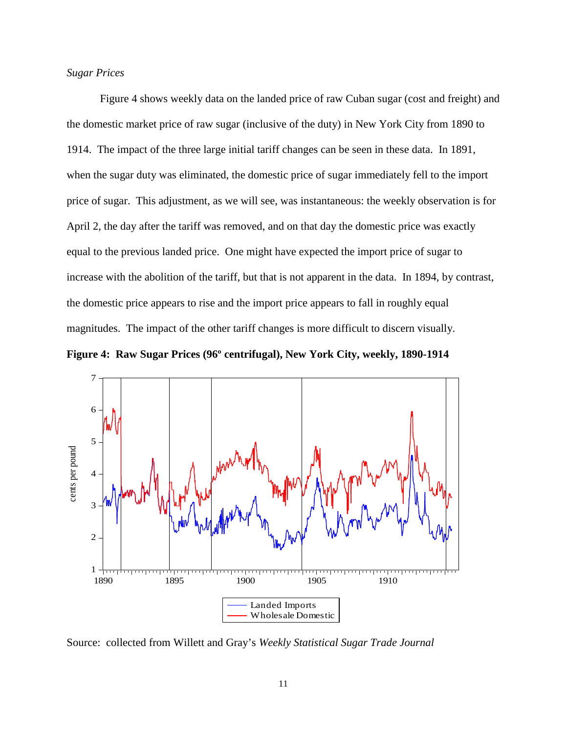## *Sugar Prices*

Figure 4 shows weekly data on the landed price of raw Cuban sugar (cost and freight) and the domestic market price of raw sugar (inclusive of the duty) in New York City from 1890 to 1914. The impact of the three large initial tariff changes can be seen in these data. In 1891, when the sugar duty was eliminated, the domestic price of sugar immediately fell to the import price of sugar. This adjustment, as we will see, was instantaneous: the weekly observation is for April 2, the day after the tariff was removed, and on that day the domestic price was exactly equal to the previous landed price. One might have expected the import price of sugar to increase with the abolition of the tariff, but that is not apparent in the data. In 1894, by contrast, the domestic price appears to rise and the import price appears to fall in roughly equal magnitudes. The impact of the other tariff changes is more difficult to discern visually.





Source: collected from Willett and Gray's *Weekly Statistical Sugar Trade Journal*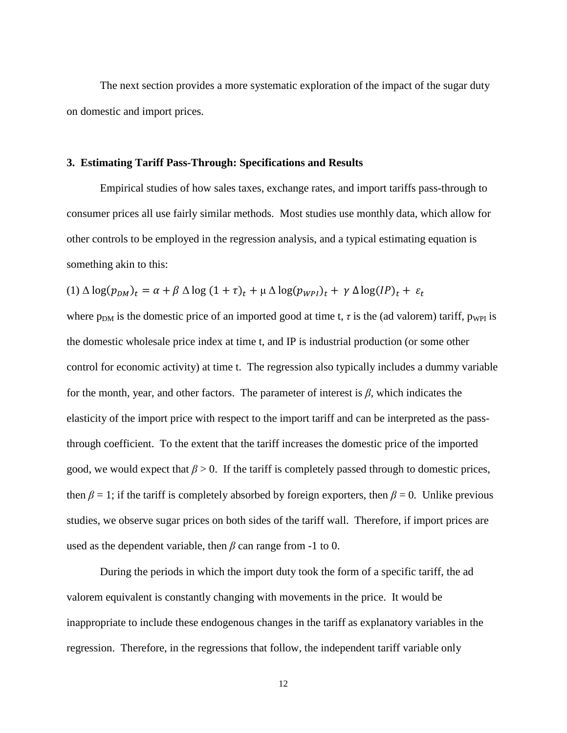The next section provides a more systematic exploration of the impact of the sugar duty on domestic and import prices.

## **3. Estimating Tariff Pass-Through: Specifications and Results**

Empirical studies of how sales taxes, exchange rates, and import tariffs pass-through to consumer prices all use fairly similar methods. Most studies use monthly data, which allow for other controls to be employed in the regression analysis, and a typical estimating equation is something akin to this:

$$
(1) \Delta \log(p_{DM})_t = \alpha + \beta \Delta \log(1+\tau)_t + \mu \Delta \log(p_{WPI})_t + \gamma \Delta \log(IP)_t + \varepsilon_t
$$

where  $p_{DM}$  is the domestic price of an imported good at time t,  $\tau$  is the (ad valorem) tariff,  $p_{WPI}$  is the domestic wholesale price index at time t, and IP is industrial production (or some other control for economic activity) at time t. The regression also typically includes a dummy variable for the month, year, and other factors. The parameter of interest is *β*, which indicates the elasticity of the import price with respect to the import tariff and can be interpreted as the passthrough coefficient. To the extent that the tariff increases the domestic price of the imported good, we would expect that  $\beta > 0$ . If the tariff is completely passed through to domestic prices, then  $\beta = 1$ ; if the tariff is completely absorbed by foreign exporters, then  $\beta = 0$ . Unlike previous studies, we observe sugar prices on both sides of the tariff wall. Therefore, if import prices are used as the dependent variable, then *β* can range from -1 to 0.

During the periods in which the import duty took the form of a specific tariff, the ad valorem equivalent is constantly changing with movements in the price. It would be inappropriate to include these endogenous changes in the tariff as explanatory variables in the regression. Therefore, in the regressions that follow, the independent tariff variable only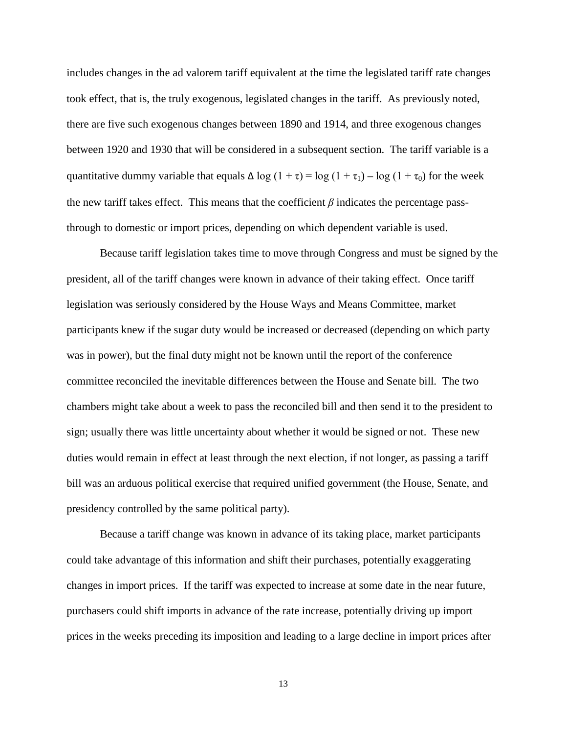includes changes in the ad valorem tariff equivalent at the time the legislated tariff rate changes took effect, that is, the truly exogenous, legislated changes in the tariff. As previously noted, there are five such exogenous changes between 1890 and 1914, and three exogenous changes between 1920 and 1930 that will be considered in a subsequent section. The tariff variable is a quantitative dummy variable that equals  $\Delta \log (1 + \tau) = \log (1 + \tau_1) - \log (1 + \tau_0)$  for the week the new tariff takes effect. This means that the coefficient  $\beta$  indicates the percentage passthrough to domestic or import prices, depending on which dependent variable is used.

Because tariff legislation takes time to move through Congress and must be signed by the president, all of the tariff changes were known in advance of their taking effect. Once tariff legislation was seriously considered by the House Ways and Means Committee, market participants knew if the sugar duty would be increased or decreased (depending on which party was in power), but the final duty might not be known until the report of the conference committee reconciled the inevitable differences between the House and Senate bill. The two chambers might take about a week to pass the reconciled bill and then send it to the president to sign; usually there was little uncertainty about whether it would be signed or not. These new duties would remain in effect at least through the next election, if not longer, as passing a tariff bill was an arduous political exercise that required unified government (the House, Senate, and presidency controlled by the same political party).

Because a tariff change was known in advance of its taking place, market participants could take advantage of this information and shift their purchases, potentially exaggerating changes in import prices. If the tariff was expected to increase at some date in the near future, purchasers could shift imports in advance of the rate increase, potentially driving up import prices in the weeks preceding its imposition and leading to a large decline in import prices after

13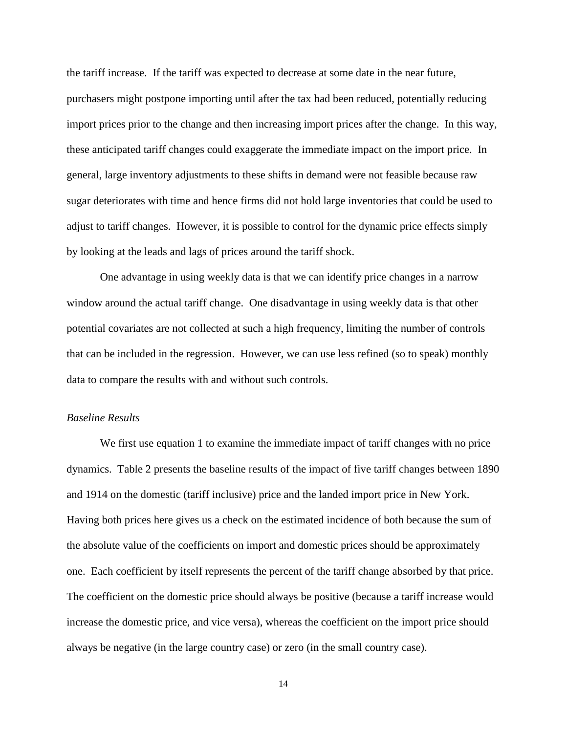the tariff increase. If the tariff was expected to decrease at some date in the near future, purchasers might postpone importing until after the tax had been reduced, potentially reducing import prices prior to the change and then increasing import prices after the change. In this way, these anticipated tariff changes could exaggerate the immediate impact on the import price. In general, large inventory adjustments to these shifts in demand were not feasible because raw sugar deteriorates with time and hence firms did not hold large inventories that could be used to adjust to tariff changes. However, it is possible to control for the dynamic price effects simply by looking at the leads and lags of prices around the tariff shock.

One advantage in using weekly data is that we can identify price changes in a narrow window around the actual tariff change. One disadvantage in using weekly data is that other potential covariates are not collected at such a high frequency, limiting the number of controls that can be included in the regression. However, we can use less refined (so to speak) monthly data to compare the results with and without such controls.

## *Baseline Results*

We first use equation 1 to examine the immediate impact of tariff changes with no price dynamics. Table 2 presents the baseline results of the impact of five tariff changes between 1890 and 1914 on the domestic (tariff inclusive) price and the landed import price in New York. Having both prices here gives us a check on the estimated incidence of both because the sum of the absolute value of the coefficients on import and domestic prices should be approximately one. Each coefficient by itself represents the percent of the tariff change absorbed by that price. The coefficient on the domestic price should always be positive (because a tariff increase would increase the domestic price, and vice versa), whereas the coefficient on the import price should always be negative (in the large country case) or zero (in the small country case).

14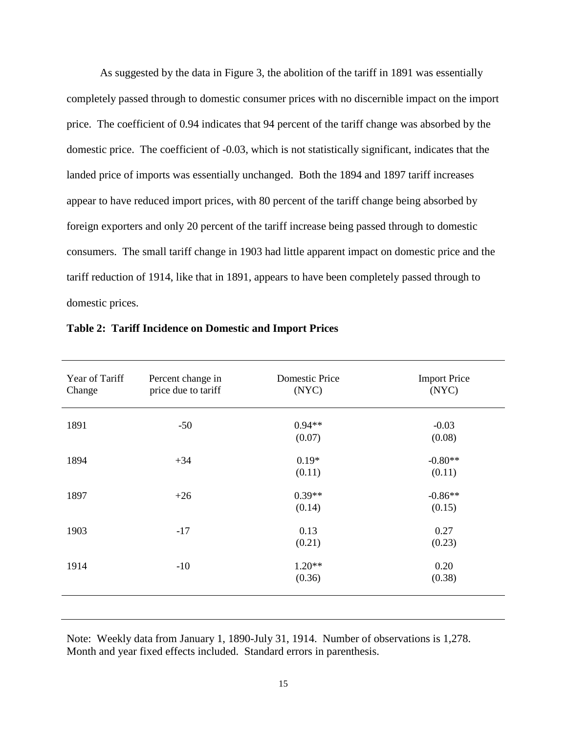As suggested by the data in Figure 3, the abolition of the tariff in 1891 was essentially completely passed through to domestic consumer prices with no discernible impact on the import price. The coefficient of 0.94 indicates that 94 percent of the tariff change was absorbed by the domestic price. The coefficient of -0.03, which is not statistically significant, indicates that the landed price of imports was essentially unchanged. Both the 1894 and 1897 tariff increases appear to have reduced import prices, with 80 percent of the tariff change being absorbed by foreign exporters and only 20 percent of the tariff increase being passed through to domestic consumers. The small tariff change in 1903 had little apparent impact on domestic price and the tariff reduction of 1914, like that in 1891, appears to have been completely passed through to domestic prices.

| Year of Tariff<br>Change | Percent change in<br>price due to tariff | <b>Domestic Price</b><br>(NYC) | <b>Import Price</b><br>(NYC) |
|--------------------------|------------------------------------------|--------------------------------|------------------------------|
| 1891                     | $-50$                                    | $0.94**$<br>(0.07)             | $-0.03$<br>(0.08)            |
| 1894                     | $+34$                                    | $0.19*$<br>(0.11)              | $-0.80**$<br>(0.11)          |
| 1897                     | $+26$                                    | $0.39**$<br>(0.14)             | $-0.86**$<br>(0.15)          |
| 1903                     | $-17$                                    | 0.13<br>(0.21)                 | 0.27<br>(0.23)               |
| 1914                     | $-10$                                    | $1.20**$<br>(0.36)             | 0.20<br>(0.38)               |
|                          |                                          |                                |                              |

**Table 2: Tariff Incidence on Domestic and Import Prices** 

Note: Weekly data from January 1, 1890-July 31, 1914. Number of observations is 1,278. Month and year fixed effects included. Standard errors in parenthesis.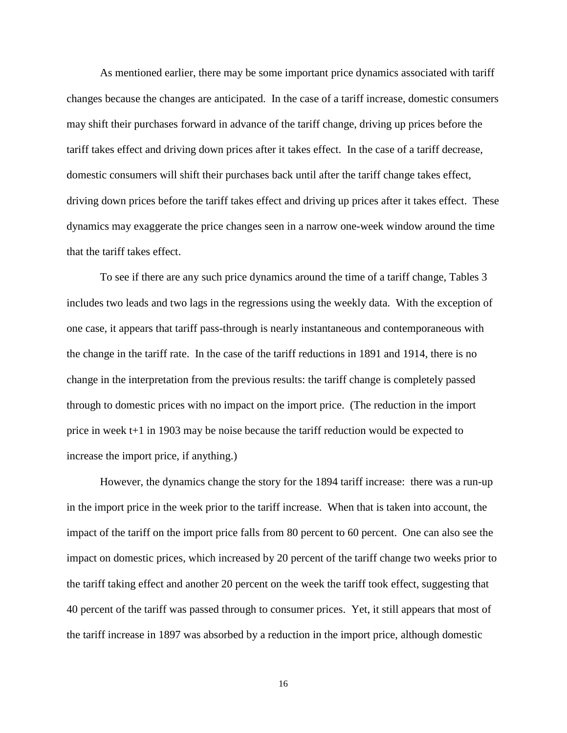As mentioned earlier, there may be some important price dynamics associated with tariff changes because the changes are anticipated. In the case of a tariff increase, domestic consumers may shift their purchases forward in advance of the tariff change, driving up prices before the tariff takes effect and driving down prices after it takes effect. In the case of a tariff decrease, domestic consumers will shift their purchases back until after the tariff change takes effect, driving down prices before the tariff takes effect and driving up prices after it takes effect. These dynamics may exaggerate the price changes seen in a narrow one-week window around the time that the tariff takes effect.

To see if there are any such price dynamics around the time of a tariff change, Tables 3 includes two leads and two lags in the regressions using the weekly data. With the exception of one case, it appears that tariff pass-through is nearly instantaneous and contemporaneous with the change in the tariff rate. In the case of the tariff reductions in 1891 and 1914, there is no change in the interpretation from the previous results: the tariff change is completely passed through to domestic prices with no impact on the import price. (The reduction in the import price in week t+1 in 1903 may be noise because the tariff reduction would be expected to increase the import price, if anything.)

However, the dynamics change the story for the 1894 tariff increase: there was a run-up in the import price in the week prior to the tariff increase. When that is taken into account, the impact of the tariff on the import price falls from 80 percent to 60 percent. One can also see the impact on domestic prices, which increased by 20 percent of the tariff change two weeks prior to the tariff taking effect and another 20 percent on the week the tariff took effect, suggesting that 40 percent of the tariff was passed through to consumer prices. Yet, it still appears that most of the tariff increase in 1897 was absorbed by a reduction in the import price, although domestic

16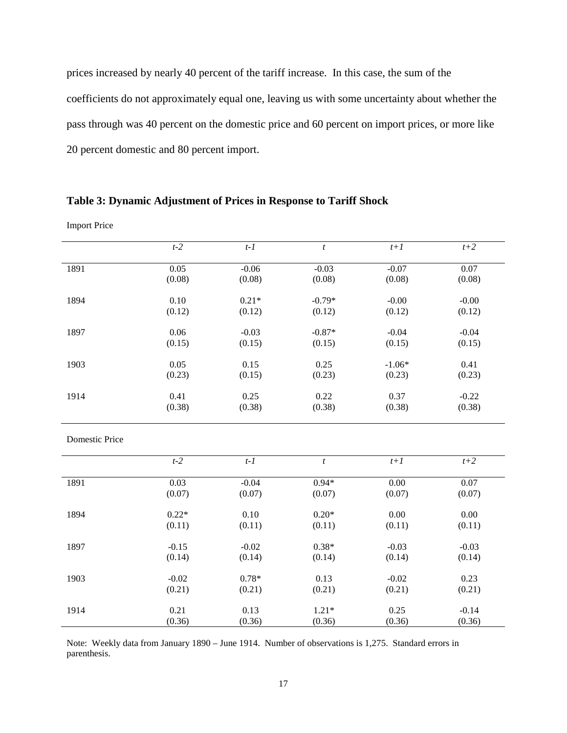prices increased by nearly 40 percent of the tariff increase. In this case, the sum of the coefficients do not approximately equal one, leaving us with some uncertainty about whether the pass through was 40 percent on the domestic price and 60 percent on import prices, or more like 20 percent domestic and 80 percent import.

# **Table 3: Dynamic Adjustment of Prices in Response to Tariff Shock**

Import Price

|                       | $t-2$   | $t-1$   | $\boldsymbol{t}$ | $t+1$             | $t+2$   |
|-----------------------|---------|---------|------------------|-------------------|---------|
| 1891                  | 0.05    | $-0.06$ | $-0.03$          | $-0.07$           | 0.07    |
|                       | (0.08)  | (0.08)  | (0.08)           | (0.08)            | (0.08)  |
| 1894                  | 0.10    | $0.21*$ | $-0.79*$         | $-0.00$           | $-0.00$ |
|                       | (0.12)  | (0.12)  | (0.12)           | (0.12)            | (0.12)  |
| 1897                  | 0.06    | $-0.03$ | $-0.87*$         | $-0.04$           | $-0.04$ |
|                       | (0.15)  | (0.15)  | (0.15)           | (0.15)            | (0.15)  |
| 1903                  | 0.05    | 0.15    | 0.25             | $-1.06*$          | 0.41    |
|                       | (0.23)  | (0.15)  | (0.23)           | (0.23)            | (0.23)  |
| 1914                  | 0.41    | 0.25    | 0.22             | 0.37              | $-0.22$ |
|                       | (0.38)  | (0.38)  | (0.38)           | (0.38)            | (0.38)  |
| <b>Domestic Price</b> |         |         |                  |                   |         |
|                       |         |         |                  |                   |         |
|                       | $t-2$   | $t-1$   | $\boldsymbol{t}$ | $t+1$             | $t+2$   |
| 1891                  | 0.03    | $-0.04$ | $0.94*$          | $\overline{0.00}$ | 0.07    |
|                       | (0.07)  | (0.07)  | (0.07)           | (0.07)            | (0.07)  |
| 1894                  | $0.22*$ | 0.10    | $0.20*$          | 0.00              | 0.00    |
|                       | (0.11)  | (0.11)  | (0.11)           | (0.11)            | (0.11)  |
| 1897                  | $-0.15$ | $-0.02$ | $0.38*$          | $-0.03$           | $-0.03$ |
|                       | (0.14)  | (0.14)  | (0.14)           | (0.14)            | (0.14)  |
| 1903                  | $-0.02$ | $0.78*$ | 0.13             | $-0.02$           | 0.23    |

Note: Weekly data from January 1890 – June 1914. Number of observations is 1,275. Standard errors in parenthesis.

(0.21)

0.13 (0.36)

(0.21)

(0.36)

1914 0.21

(0.21)

1.21\* (0.36) (0.21)

0.25 (0.36) (0.21)

-0.14 (0.36)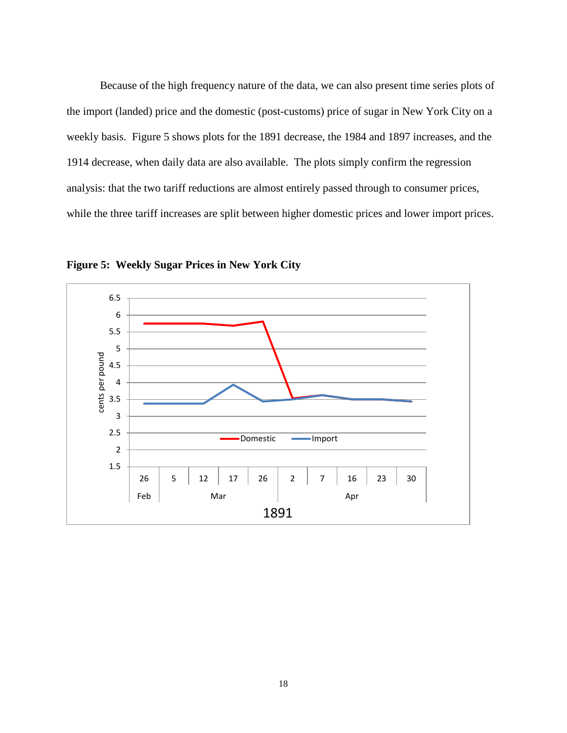Because of the high frequency nature of the data, we can also present time series plots of the import (landed) price and the domestic (post-customs) price of sugar in New York City on a weekly basis. Figure 5 shows plots for the 1891 decrease, the 1984 and 1897 increases, and the 1914 decrease, when daily data are also available. The plots simply confirm the regression analysis: that the two tariff reductions are almost entirely passed through to consumer prices, while the three tariff increases are split between higher domestic prices and lower import prices.



**Figure 5: Weekly Sugar Prices in New York City**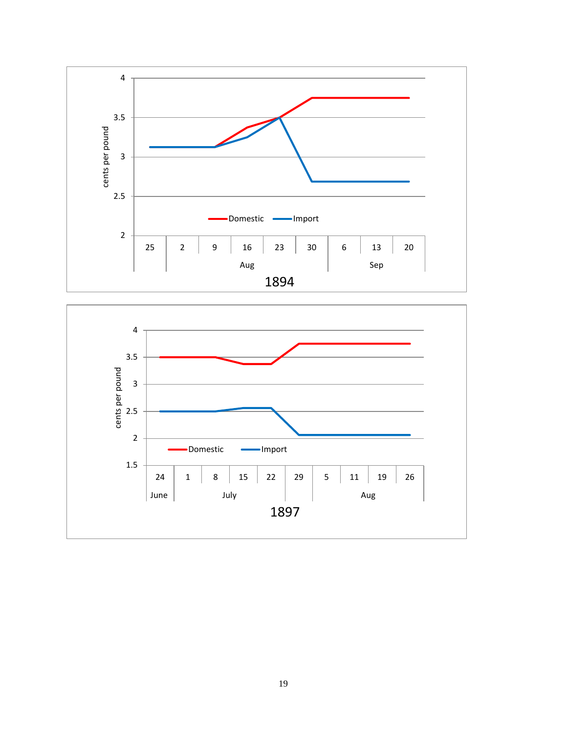

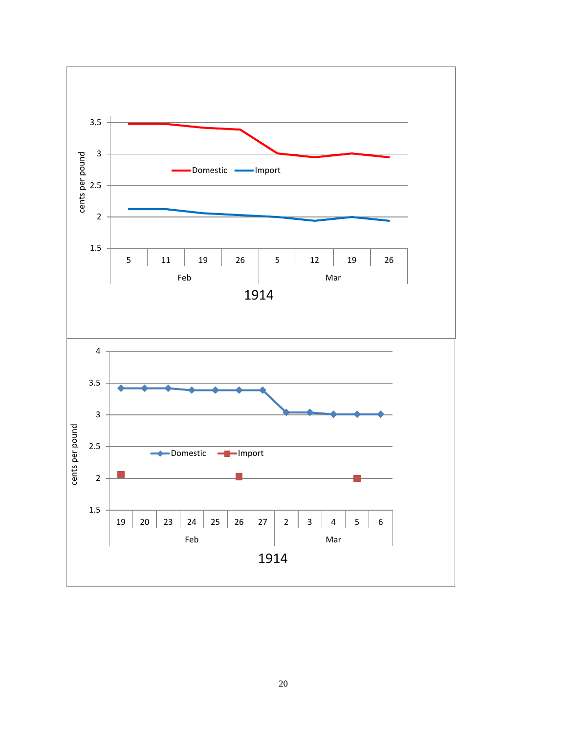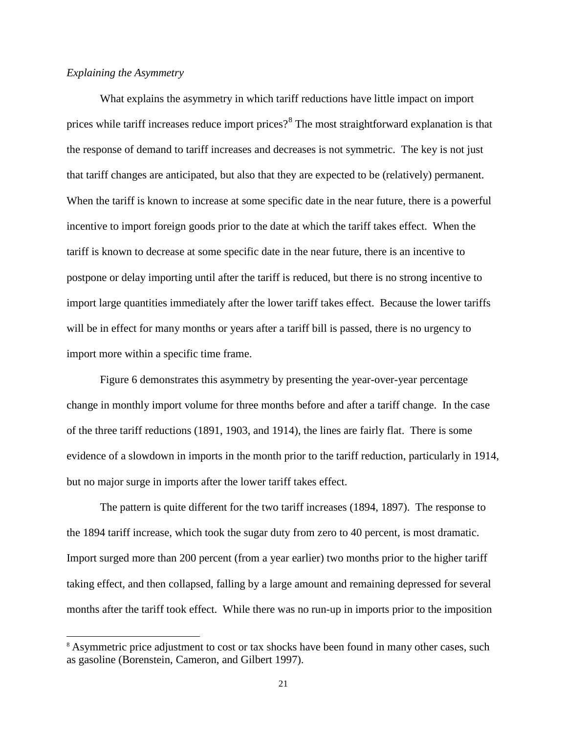#### *Explaining the Asymmetry*

 $\overline{a}$ 

What explains the asymmetry in which tariff reductions have little impact on import prices while tariff increases reduce import prices?<sup>[8](#page-20-0)</sup> The most straightforward explanation is that the response of demand to tariff increases and decreases is not symmetric. The key is not just that tariff changes are anticipated, but also that they are expected to be (relatively) permanent. When the tariff is known to increase at some specific date in the near future, there is a powerful incentive to import foreign goods prior to the date at which the tariff takes effect. When the tariff is known to decrease at some specific date in the near future, there is an incentive to postpone or delay importing until after the tariff is reduced, but there is no strong incentive to import large quantities immediately after the lower tariff takes effect. Because the lower tariffs will be in effect for many months or years after a tariff bill is passed, there is no urgency to import more within a specific time frame.

Figure 6 demonstrates this asymmetry by presenting the year-over-year percentage change in monthly import volume for three months before and after a tariff change. In the case of the three tariff reductions (1891, 1903, and 1914), the lines are fairly flat. There is some evidence of a slowdown in imports in the month prior to the tariff reduction, particularly in 1914, but no major surge in imports after the lower tariff takes effect.

The pattern is quite different for the two tariff increases (1894, 1897). The response to the 1894 tariff increase, which took the sugar duty from zero to 40 percent, is most dramatic. Import surged more than 200 percent (from a year earlier) two months prior to the higher tariff taking effect, and then collapsed, falling by a large amount and remaining depressed for several months after the tariff took effect. While there was no run-up in imports prior to the imposition

<span id="page-20-0"></span><sup>&</sup>lt;sup>8</sup> Asymmetric price adjustment to cost or tax shocks have been found in many other cases, such as gasoline (Borenstein, Cameron, and Gilbert 1997).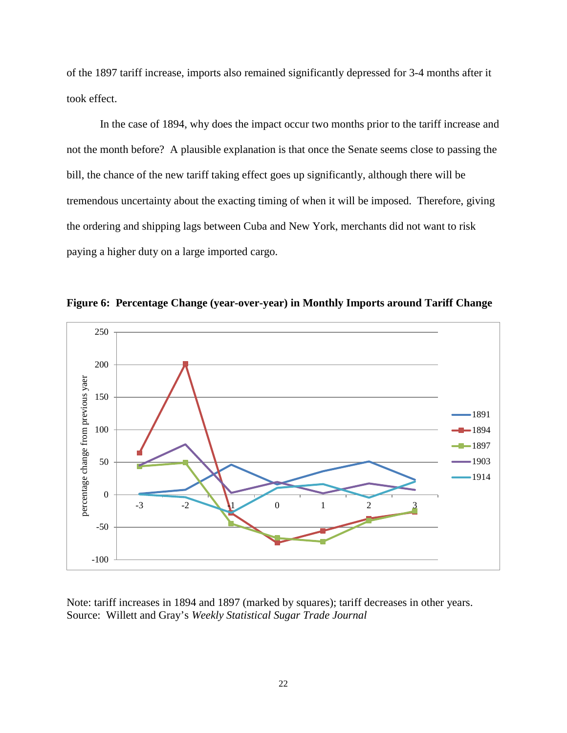of the 1897 tariff increase, imports also remained significantly depressed for 3-4 months after it took effect.

In the case of 1894, why does the impact occur two months prior to the tariff increase and not the month before? A plausible explanation is that once the Senate seems close to passing the bill, the chance of the new tariff taking effect goes up significantly, although there will be tremendous uncertainty about the exacting timing of when it will be imposed. Therefore, giving the ordering and shipping lags between Cuba and New York, merchants did not want to risk paying a higher duty on a large imported cargo.



**Figure 6: Percentage Change (year-over-year) in Monthly Imports around Tariff Change**

Note: tariff increases in 1894 and 1897 (marked by squares); tariff decreases in other years. Source: Willett and Gray's *Weekly Statistical Sugar Trade Journal*

22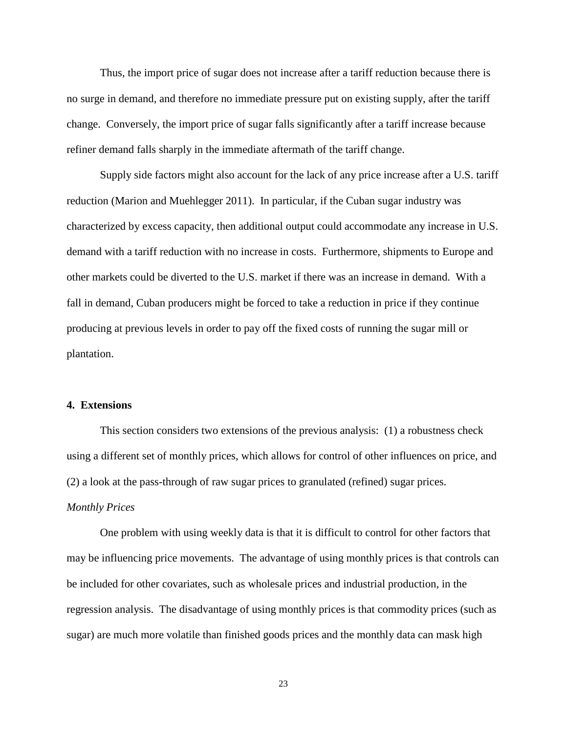Thus, the import price of sugar does not increase after a tariff reduction because there is no surge in demand, and therefore no immediate pressure put on existing supply, after the tariff change. Conversely, the import price of sugar falls significantly after a tariff increase because refiner demand falls sharply in the immediate aftermath of the tariff change.

Supply side factors might also account for the lack of any price increase after a U.S. tariff reduction (Marion and Muehlegger 2011). In particular, if the Cuban sugar industry was characterized by excess capacity, then additional output could accommodate any increase in U.S. demand with a tariff reduction with no increase in costs. Furthermore, shipments to Europe and other markets could be diverted to the U.S. market if there was an increase in demand. With a fall in demand, Cuban producers might be forced to take a reduction in price if they continue producing at previous levels in order to pay off the fixed costs of running the sugar mill or plantation.

#### **4. Extensions**

This section considers two extensions of the previous analysis: (1) a robustness check using a different set of monthly prices, which allows for control of other influences on price, and (2) a look at the pass-through of raw sugar prices to granulated (refined) sugar prices.

#### *Monthly Prices*

One problem with using weekly data is that it is difficult to control for other factors that may be influencing price movements. The advantage of using monthly prices is that controls can be included for other covariates, such as wholesale prices and industrial production, in the regression analysis. The disadvantage of using monthly prices is that commodity prices (such as sugar) are much more volatile than finished goods prices and the monthly data can mask high

23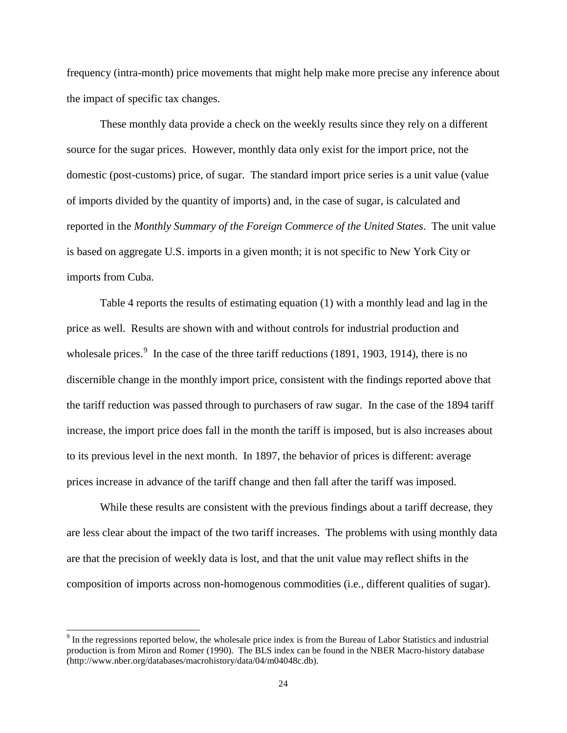frequency (intra-month) price movements that might help make more precise any inference about the impact of specific tax changes.

These monthly data provide a check on the weekly results since they rely on a different source for the sugar prices. However, monthly data only exist for the import price, not the domestic (post-customs) price, of sugar. The standard import price series is a unit value (value of imports divided by the quantity of imports) and, in the case of sugar, is calculated and reported in the *Monthly Summary of the Foreign Commerce of the United States*. The unit value is based on aggregate U.S. imports in a given month; it is not specific to New York City or imports from Cuba.

Table 4 reports the results of estimating equation (1) with a monthly lead and lag in the price as well. Results are shown with and without controls for industrial production and wholesale prices. $9$  In the case of the three tariff reductions (1891, 1903, 1914), there is no discernible change in the monthly import price, consistent with the findings reported above that the tariff reduction was passed through to purchasers of raw sugar. In the case of the 1894 tariff increase, the import price does fall in the month the tariff is imposed, but is also increases about to its previous level in the next month. In 1897, the behavior of prices is different: average prices increase in advance of the tariff change and then fall after the tariff was imposed.

While these results are consistent with the previous findings about a tariff decrease, they are less clear about the impact of the two tariff increases. The problems with using monthly data are that the precision of weekly data is lost, and that the unit value may reflect shifts in the composition of imports across non-homogenous commodities (i.e., different qualities of sugar).

 $\overline{a}$ 

<span id="page-23-0"></span><sup>&</sup>lt;sup>9</sup> In the regressions reported below, the wholesale price index is from the Bureau of Labor Statistics and industrial production is from Miron and Romer (1990). The BLS index can be found in the NBER Macro-history database (http://www.nber.org/databases/macrohistory/data/04/m04048c.db).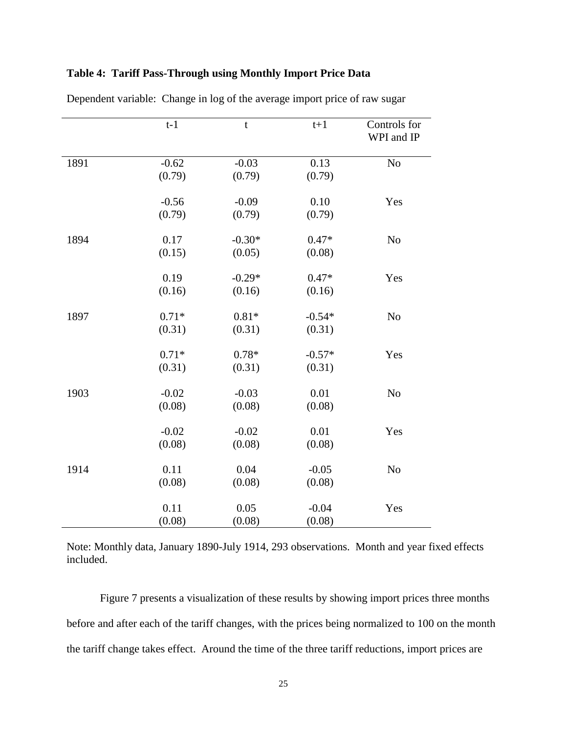|  | Table 4: Tariff Pass-Through using Monthly Import Price Data |  |  |  |  |  |
|--|--------------------------------------------------------------|--|--|--|--|--|
|--|--------------------------------------------------------------|--|--|--|--|--|

|      | $t-1$   | t        | $t+1$    | Controls for<br>WPI and IP |
|------|---------|----------|----------|----------------------------|
| 1891 | $-0.62$ | $-0.03$  | 0.13     | No                         |
|      | (0.79)  | (0.79)   | (0.79)   |                            |
|      | $-0.56$ | $-0.09$  | $0.10\,$ | Yes                        |
|      | (0.79)  | (0.79)   | (0.79)   |                            |
| 1894 | 0.17    | $-0.30*$ | $0.47*$  | No                         |
|      | (0.15)  | (0.05)   | (0.08)   |                            |
|      | 0.19    | $-0.29*$ | $0.47*$  | Yes                        |
|      | (0.16)  | (0.16)   | (0.16)   |                            |
| 1897 | $0.71*$ | $0.81*$  | $-0.54*$ | No                         |
|      | (0.31)  | (0.31)   | (0.31)   |                            |
|      | $0.71*$ | $0.78*$  | $-0.57*$ | Yes                        |
|      | (0.31)  | (0.31)   | (0.31)   |                            |
| 1903 | $-0.02$ | $-0.03$  | 0.01     | N <sub>o</sub>             |
|      | (0.08)  | (0.08)   | (0.08)   |                            |
|      | $-0.02$ | $-0.02$  | 0.01     | Yes                        |
|      | (0.08)  | (0.08)   | (0.08)   |                            |
| 1914 | 0.11    | 0.04     | $-0.05$  | N <sub>o</sub>             |
|      | (0.08)  | (0.08)   | (0.08)   |                            |
|      | 0.11    | 0.05     | $-0.04$  | Yes                        |
|      | (0.08)  | (0.08)   | (0.08)   |                            |

Dependent variable: Change in log of the average import price of raw sugar

Note: Monthly data, January 1890-July 1914, 293 observations. Month and year fixed effects included.

Figure 7 presents a visualization of these results by showing import prices three months before and after each of the tariff changes, with the prices being normalized to 100 on the month the tariff change takes effect. Around the time of the three tariff reductions, import prices are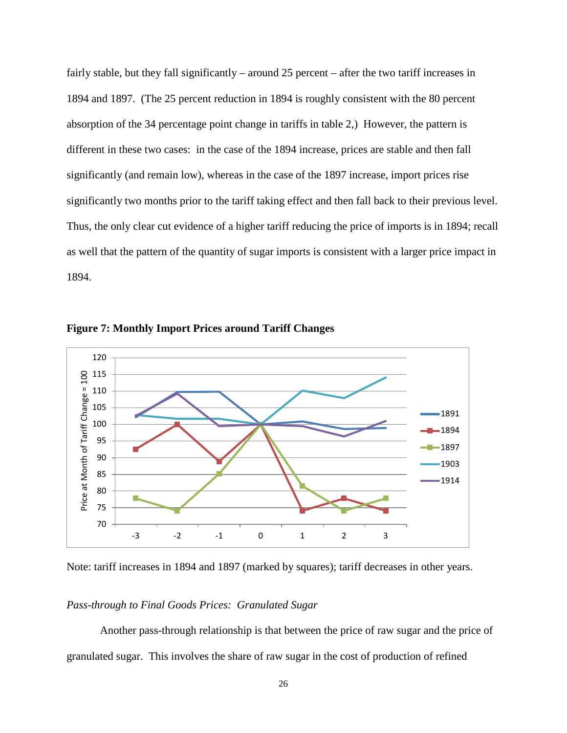fairly stable, but they fall significantly – around 25 percent – after the two tariff increases in 1894 and 1897. (The 25 percent reduction in 1894 is roughly consistent with the 80 percent absorption of the 34 percentage point change in tariffs in table 2,) However, the pattern is different in these two cases: in the case of the 1894 increase, prices are stable and then fall significantly (and remain low), whereas in the case of the 1897 increase, import prices rise significantly two months prior to the tariff taking effect and then fall back to their previous level. Thus, the only clear cut evidence of a higher tariff reducing the price of imports is in 1894; recall as well that the pattern of the quantity of sugar imports is consistent with a larger price impact in 1894.



**Figure 7: Monthly Import Prices around Tariff Changes**

Note: tariff increases in 1894 and 1897 (marked by squares); tariff decreases in other years.

### *Pass-through to Final Goods Prices: Granulated Sugar*

Another pass-through relationship is that between the price of raw sugar and the price of granulated sugar. This involves the share of raw sugar in the cost of production of refined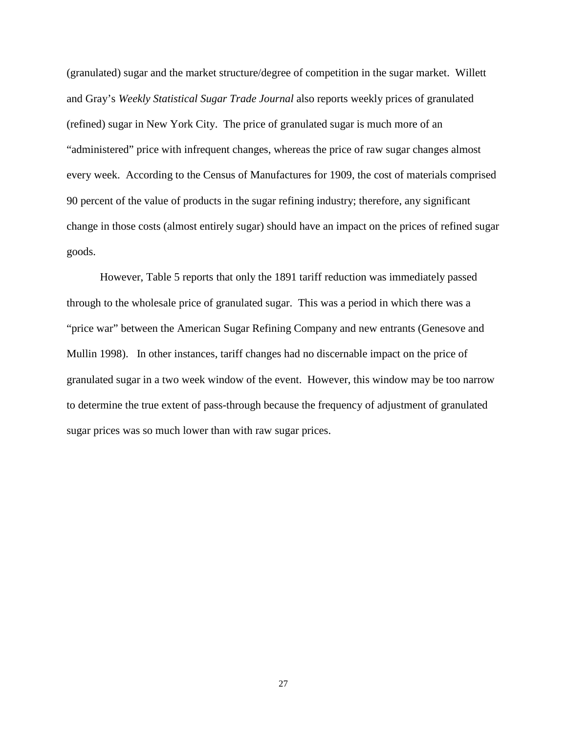(granulated) sugar and the market structure/degree of competition in the sugar market. Willett and Gray's *Weekly Statistical Sugar Trade Journal* also reports weekly prices of granulated (refined) sugar in New York City. The price of granulated sugar is much more of an "administered" price with infrequent changes, whereas the price of raw sugar changes almost every week. According to the Census of Manufactures for 1909, the cost of materials comprised 90 percent of the value of products in the sugar refining industry; therefore, any significant change in those costs (almost entirely sugar) should have an impact on the prices of refined sugar goods.

However, Table 5 reports that only the 1891 tariff reduction was immediately passed through to the wholesale price of granulated sugar. This was a period in which there was a "price war" between the American Sugar Refining Company and new entrants (Genesove and Mullin 1998). In other instances, tariff changes had no discernable impact on the price of granulated sugar in a two week window of the event. However, this window may be too narrow to determine the true extent of pass-through because the frequency of adjustment of granulated sugar prices was so much lower than with raw sugar prices.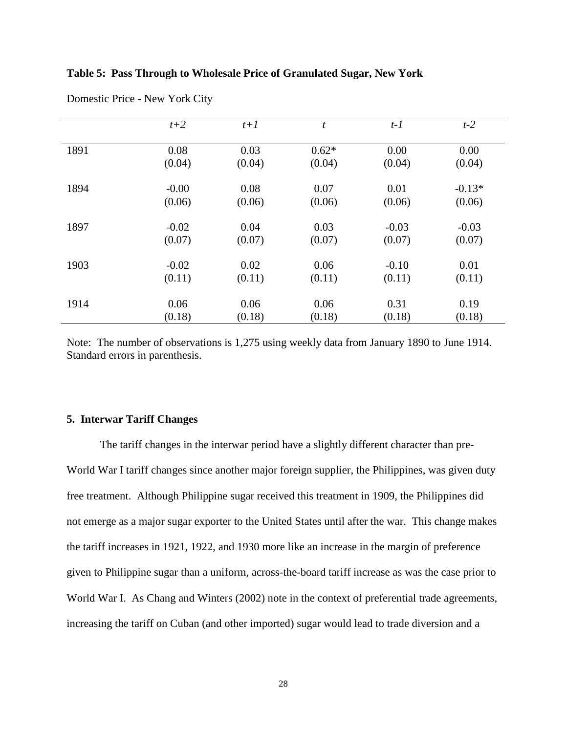| Table 5: Pass Through to Wholesale Price of Granulated Sugar, New York |  |  |  |  |  |  |  |  |
|------------------------------------------------------------------------|--|--|--|--|--|--|--|--|
|------------------------------------------------------------------------|--|--|--|--|--|--|--|--|

|      | $t+2$   | $t+1$  | t       | $t-1$   | $t-2$    |
|------|---------|--------|---------|---------|----------|
| 1891 | 0.08    | 0.03   | $0.62*$ | 0.00    | 0.00     |
|      | (0.04)  | (0.04) | (0.04)  | (0.04)  | (0.04)   |
|      |         |        |         |         |          |
| 1894 | $-0.00$ | 0.08   | 0.07    | 0.01    | $-0.13*$ |
|      | (0.06)  | (0.06) | (0.06)  | (0.06)  | (0.06)   |
| 1897 | $-0.02$ | 0.04   | 0.03    | $-0.03$ | $-0.03$  |
|      | (0.07)  | (0.07) | (0.07)  | (0.07)  | (0.07)   |
| 1903 | $-0.02$ | 0.02   | 0.06    | $-0.10$ | 0.01     |
|      | (0.11)  | (0.11) | (0.11)  | (0.11)  | (0.11)   |
| 1914 | 0.06    | 0.06   | 0.06    | 0.31    | 0.19     |
|      | (0.18)  | (0.18) | (0.18)  | (0.18)  | (0.18)   |

Domestic Price - New York City

Note: The number of observations is 1,275 using weekly data from January 1890 to June 1914. Standard errors in parenthesis.

#### **5. Interwar Tariff Changes**

The tariff changes in the interwar period have a slightly different character than pre-World War I tariff changes since another major foreign supplier, the Philippines, was given duty free treatment. Although Philippine sugar received this treatment in 1909, the Philippines did not emerge as a major sugar exporter to the United States until after the war. This change makes the tariff increases in 1921, 1922, and 1930 more like an increase in the margin of preference given to Philippine sugar than a uniform, across-the-board tariff increase as was the case prior to World War I. As Chang and Winters (2002) note in the context of preferential trade agreements, increasing the tariff on Cuban (and other imported) sugar would lead to trade diversion and a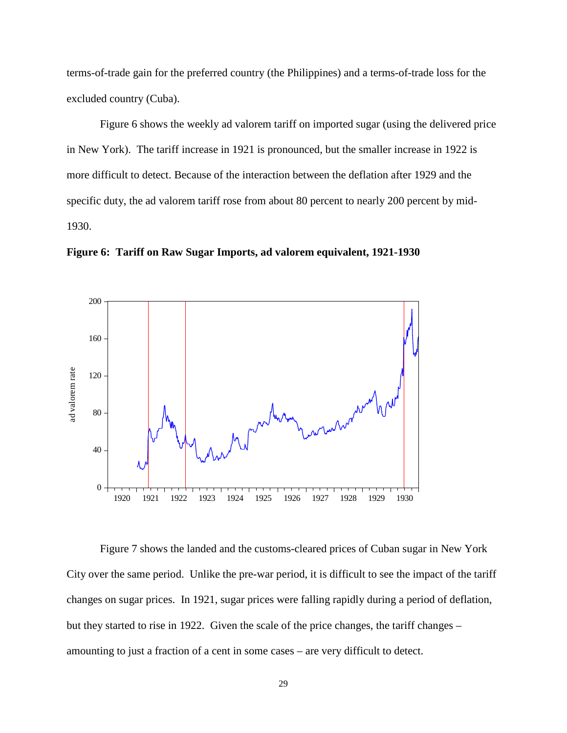terms-of-trade gain for the preferred country (the Philippines) and a terms-of-trade loss for the excluded country (Cuba).

Figure 6 shows the weekly ad valorem tariff on imported sugar (using the delivered price in New York). The tariff increase in 1921 is pronounced, but the smaller increase in 1922 is more difficult to detect. Because of the interaction between the deflation after 1929 and the specific duty, the ad valorem tariff rose from about 80 percent to nearly 200 percent by mid-1930.





Figure 7 shows the landed and the customs-cleared prices of Cuban sugar in New York City over the same period. Unlike the pre-war period, it is difficult to see the impact of the tariff changes on sugar prices. In 1921, sugar prices were falling rapidly during a period of deflation, but they started to rise in 1922. Given the scale of the price changes, the tariff changes – amounting to just a fraction of a cent in some cases – are very difficult to detect.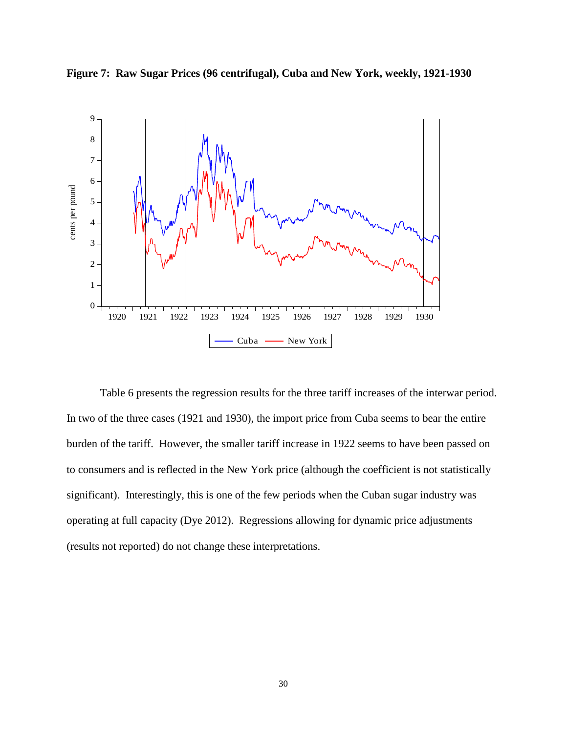



Table 6 presents the regression results for the three tariff increases of the interwar period. In two of the three cases (1921 and 1930), the import price from Cuba seems to bear the entire burden of the tariff. However, the smaller tariff increase in 1922 seems to have been passed on to consumers and is reflected in the New York price (although the coefficient is not statistically significant). Interestingly, this is one of the few periods when the Cuban sugar industry was operating at full capacity (Dye 2012). Regressions allowing for dynamic price adjustments (results not reported) do not change these interpretations.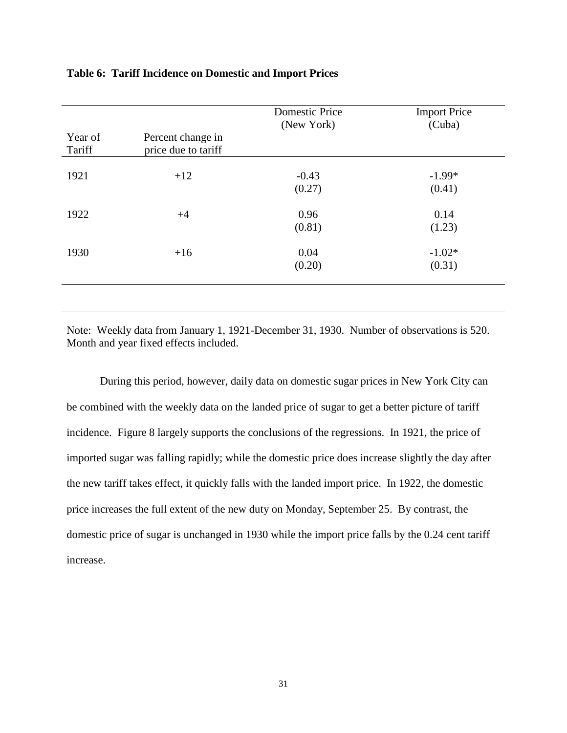| Year of<br>Tariff | Percent change in<br>price due to tariff | <b>Domestic Price</b><br>(New York) | <b>Import Price</b><br>(Cuba) |
|-------------------|------------------------------------------|-------------------------------------|-------------------------------|
| 1921              | $+12$                                    | $-0.43$<br>(0.27)                   | $-1.99*$<br>(0.41)            |
| 1922              | $+4$                                     | 0.96<br>(0.81)                      | 0.14<br>(1.23)                |
| 1930              | $+16$                                    | 0.04<br>(0.20)                      | $-1.02*$<br>(0.31)            |

#### **Table 6: Tariff Incidence on Domestic and Import Prices**

Note: Weekly data from January 1, 1921-December 31, 1930. Number of observations is 520. Month and year fixed effects included.

During this period, however, daily data on domestic sugar prices in New York City can be combined with the weekly data on the landed price of sugar to get a better picture of tariff incidence. Figure 8 largely supports the conclusions of the regressions. In 1921, the price of imported sugar was falling rapidly; while the domestic price does increase slightly the day after the new tariff takes effect, it quickly falls with the landed import price. In 1922, the domestic price increases the full extent of the new duty on Monday, September 25. By contrast, the domestic price of sugar is unchanged in 1930 while the import price falls by the 0.24 cent tariff increase.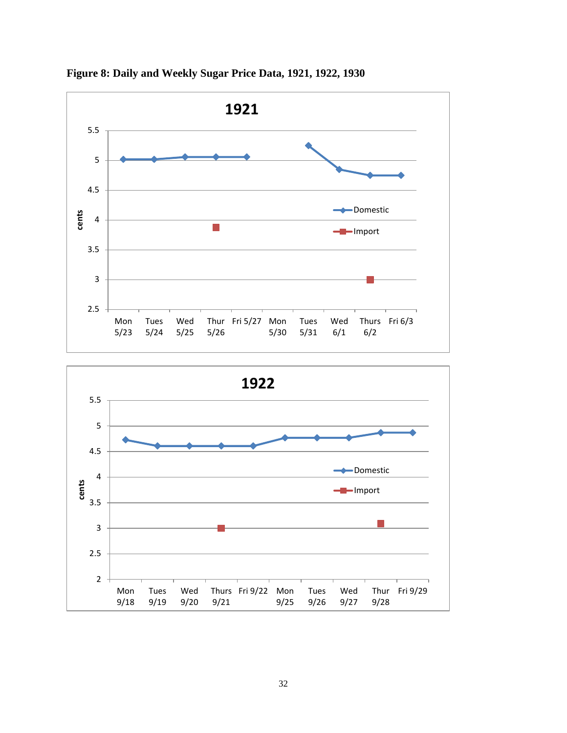

**Figure 8: Daily and Weekly Sugar Price Data, 1921, 1922, 1930**

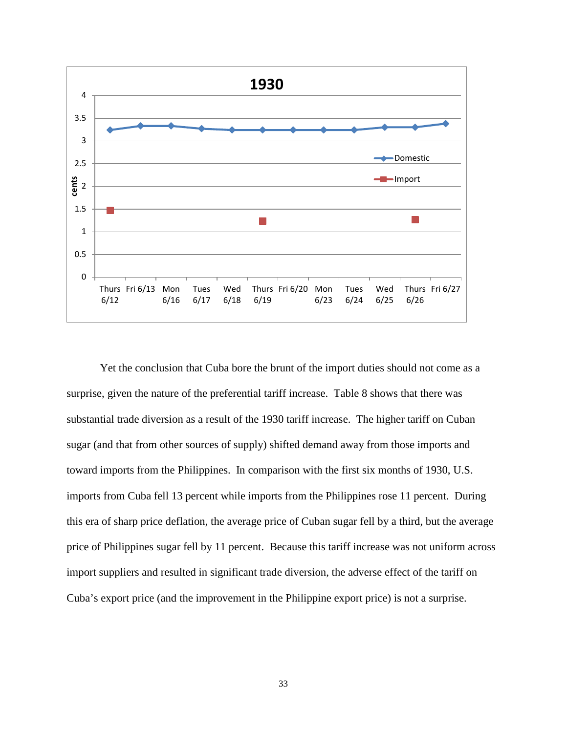

Yet the conclusion that Cuba bore the brunt of the import duties should not come as a surprise, given the nature of the preferential tariff increase. Table 8 shows that there was substantial trade diversion as a result of the 1930 tariff increase. The higher tariff on Cuban sugar (and that from other sources of supply) shifted demand away from those imports and toward imports from the Philippines. In comparison with the first six months of 1930, U.S. imports from Cuba fell 13 percent while imports from the Philippines rose 11 percent. During this era of sharp price deflation, the average price of Cuban sugar fell by a third, but the average price of Philippines sugar fell by 11 percent. Because this tariff increase was not uniform across import suppliers and resulted in significant trade diversion, the adverse effect of the tariff on Cuba's export price (and the improvement in the Philippine export price) is not a surprise.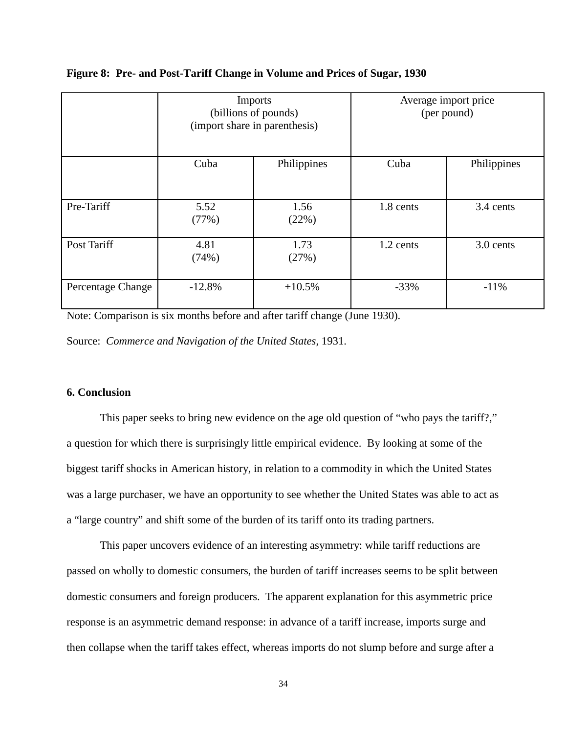|                   | <b>Imports</b><br>(billions of pounds)<br>(import share in parenthesis) |               | Average import price<br>(per pound) |             |
|-------------------|-------------------------------------------------------------------------|---------------|-------------------------------------|-------------|
|                   | Cuba                                                                    | Philippines   | Cuba                                | Philippines |
| Pre-Tariff        | 5.52<br>(77%)                                                           | 1.56<br>(22%) | 1.8 cents                           | 3.4 cents   |
| Post Tariff       | 4.81<br>(74%)                                                           | 1.73<br>(27%) | 1.2 cents                           | 3.0 cents   |
| Percentage Change | $-12.8%$                                                                | $+10.5%$      | $-33%$                              | $-11%$      |

#### **Figure 8: Pre- and Post-Tariff Change in Volume and Prices of Sugar, 1930**

Note: Comparison is six months before and after tariff change (June 1930).

Source: *Commerce and Navigation of the United States*, 1931.

## **6. Conclusion**

This paper seeks to bring new evidence on the age old question of "who pays the tariff?," a question for which there is surprisingly little empirical evidence. By looking at some of the biggest tariff shocks in American history, in relation to a commodity in which the United States was a large purchaser, we have an opportunity to see whether the United States was able to act as a "large country" and shift some of the burden of its tariff onto its trading partners.

This paper uncovers evidence of an interesting asymmetry: while tariff reductions are passed on wholly to domestic consumers, the burden of tariff increases seems to be split between domestic consumers and foreign producers. The apparent explanation for this asymmetric price response is an asymmetric demand response: in advance of a tariff increase, imports surge and then collapse when the tariff takes effect, whereas imports do not slump before and surge after a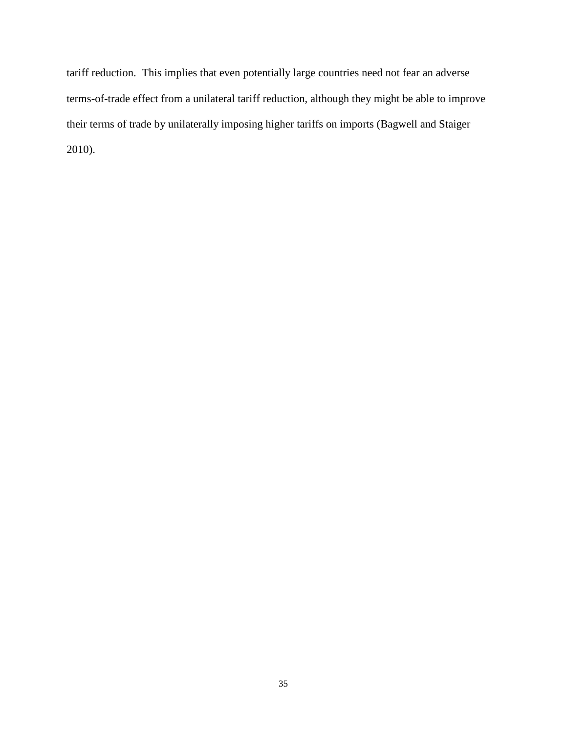tariff reduction. This implies that even potentially large countries need not fear an adverse terms-of-trade effect from a unilateral tariff reduction, although they might be able to improve their terms of trade by unilaterally imposing higher tariffs on imports (Bagwell and Staiger 2010).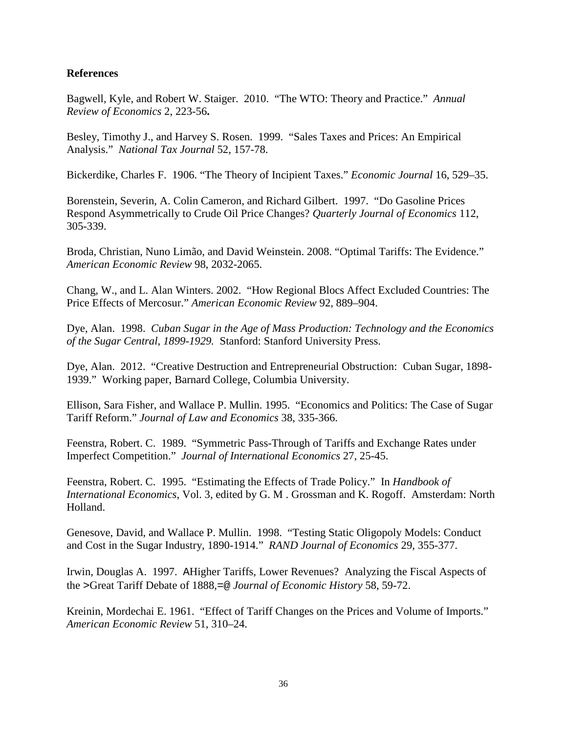# **References**

Bagwell, Kyle, and Robert W. Staiger. 2010. "The WTO: Theory and Practice." *Annual Review of Economics* 2, 223-56**.**

Besley, Timothy J., and Harvey S. Rosen. 1999. "Sales Taxes and Prices: An Empirical Analysis." *National Tax Journal* 52, 157-78.

Bickerdike, Charles F. 1906. "The Theory of Incipient Taxes." *Economic Journal* 16, 529–35.

Borenstein, Severin, A. Colin Cameron, and Richard Gilbert. 1997. "Do Gasoline Prices Respond Asymmetrically to Crude Oil Price Changes? *Quarterly Journal of Economics* 112, 305-339.

Broda, Christian, Nuno Limão, and David Weinstein. 2008. "Optimal Tariffs: The Evidence." *American Economic Review* 98, 2032-2065.

Chang, W., and L. Alan Winters. 2002. "How Regional Blocs Affect Excluded Countries: The Price Effects of Mercosur." *American Economic Review* 92, 889–904.

Dye, Alan. 1998. *Cuban Sugar in the Age of Mass Production: Technology and the Economics of the Sugar Central, 1899-1929.* Stanford: Stanford University Press.

Dye, Alan. 2012. "Creative Destruction and Entrepreneurial Obstruction: Cuban Sugar, 1898- 1939." Working paper, Barnard College, Columbia University.

Ellison, Sara Fisher, and Wallace P. Mullin. 1995. "Economics and Politics: The Case of Sugar Tariff Reform." *Journal of Law and Economics* 38, 335-366.

Feenstra, Robert. C. 1989. "Symmetric Pass-Through of Tariffs and Exchange Rates under Imperfect Competition." *Journal of International Economics* 27, 25-45.

Feenstra, Robert. C. 1995. "Estimating the Effects of Trade Policy." In *Handbook of International Economics*, Vol. 3, edited by G. M . Grossman and K. Rogoff. Amsterdam: North Holland.

Genesove, David, and Wallace P. Mullin. 1998. "Testing Static Oligopoly Models: Conduct and Cost in the Sugar Industry, 1890-1914." *RAND Journal of Economics* 29, 355-377.

Irwin, Douglas A. 1997. AHigher Tariffs, Lower Revenues? Analyzing the Fiscal Aspects of the >Great Tariff Debate of 1888,=@ *Journal of Economic History* 58, 59-72.

Kreinin, Mordechai E. 1961. "Effect of Tariff Changes on the Prices and Volume of Imports." *American Economic Review* 51, 310–24.